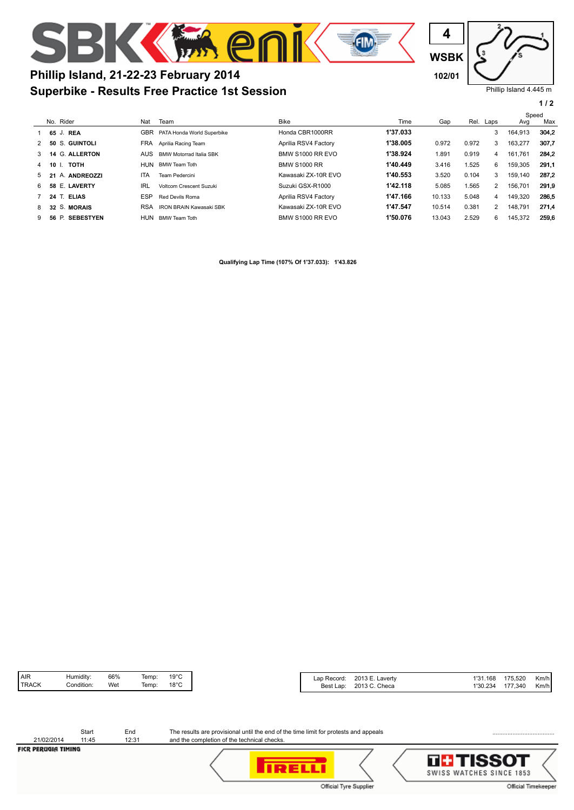

## **Superbike - Results Free Practice 1st Session Phillip Island, 21-22-23 February 2014 102/01**

Phillip Island 4.445 m **WSBK 4**

**1 / 2**

|    |                 |            |                                |                         |          | Speed  |       |              |         |       |
|----|-----------------|------------|--------------------------------|-------------------------|----------|--------|-------|--------------|---------|-------|
|    | No. Rider       | Nat        | Team                           | <b>Bike</b>             | Time     | Gap    |       | Rel. Laps    | Avg     | Max   |
|    | 65 J. REA       | GBR        | PATA Honda World Superbike     | Honda CBR1000RR         | 1'37.033 |        |       | 3            | 164.913 | 304,2 |
|    | 50 S. GUINTOLI  | <b>FRA</b> | Aprilia Racing Team            | Aprilia RSV4 Factory    | 1'38.005 | 0.972  | 0.972 | 3            | 163.277 | 307.7 |
|    | 14 G. ALLERTON  | AUS.       | <b>BMW Motorrad Italia SBK</b> | <b>BMW S1000 RR EVO</b> | 1'38.924 | 1.891  | 0.919 | 4            | 161.761 | 284.2 |
| 4  | тотн<br>10 I.   | HUN        | <b>BMW Team Toth</b>           | <b>BMW S1000 RR</b>     | 1'40.449 | 3.416  | 1.525 | 6            | 159,305 | 291,1 |
| 5. | 21 A. ANDREOZZI | ITA        | Team Pedercini                 | Kawasaki ZX-10R EVO     | 1'40.553 | 3.520  | 0.104 | 3            | 159.140 | 287.2 |
| 6. | 58 E. LAVERTY   | IRL        | Voltcom Crescent Suzuki        | Suzuki GSX-R1000        | 1'42.118 | 5.085  | 1.565 | $\mathbf{2}$ | 156.701 | 291,9 |
|    | 24 T. ELIAS     | ESP        | Red Devils Roma                | Aprilia RSV4 Factory    | 1'47.166 | 10.133 | 5.048 | 4            | 149,320 | 286,5 |
| 8. | 32 S. MORAIS    | <b>RSA</b> | <b>IRON BRAIN Kawasaki SBK</b> | Kawasaki ZX-10R EVO     | 1'47.547 | 10.514 | 0.381 | 2            | 148.791 | 271.4 |
|    | 56 P. SEBESTYEN | HUN        | <b>BMW Team Toth</b>           | <b>BMW S1000 RR EVO</b> | 1'50.076 | 13.043 | 2.529 | 6            | 145,372 | 259.6 |

**Qualifying Lap Time (107% Of 1'37.033): 1'43.826**

| Lap Record: 2013 E. Laverty | 1'31.168 175.520 Km/h |  |
|-----------------------------|-----------------------|--|
| Best Lap: 2013 C. Checa     | 1'30.234 177.340 Km/h |  |

| 21/02/2014 | 11:45 | 12:31 |
|------------|-------|-------|
|            | Start | Fnd   |

The results are provisional until the end of the time limit for protests and appeals and the completion of the technical checks.

⟨

FICR PERUGIA TIMING

|  | Official Tyre Supplier |
|--|------------------------|



.....................................